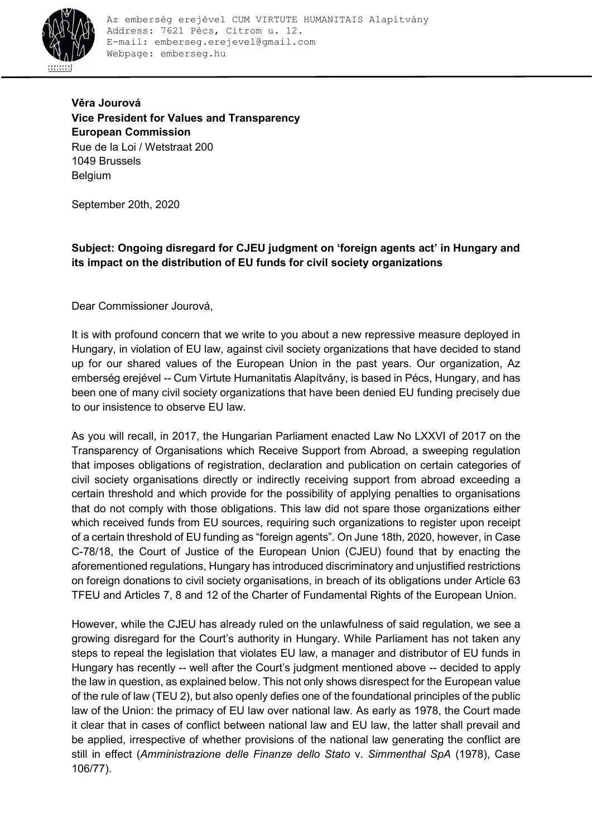

Věra Jourová Vice President for Values and Transparency European Commission Rue de la Loi / Wetstraat 200 1049 Brussels Belgium

September 20th, 2020

Subject: Ongoing disregard for CJEU judgment on 'foreign agents act' in Hungary and its impact on the distribution of EU funds for civil society organizations

Dear Commissioner Jourová,

It is with profound concern that we write to you about a new repressive measure deployed in Hungary, in violation of EU law, against civil society organizations that have decided to stand up for our shared values of the European Union in the past years. Our organization, Az emberség erejével -- Cum Virtute Humanitatis Alapítvány, is based in Pécs, Hungary, and has been one of many civil society organizations that have been denied EU funding precisely due to our insistence to observe EU law.

As you will recall, in 2017, the Hungarian Parliament enacted Law No LXXVI of 2017 on the Transparency of Organisations which Receive Support from Abroad, a sweeping regulation that imposes obligations of registration, declaration and publication on certain categories of civil society organisations directly or indirectly receiving support from abroad exceeding a certain threshold and which provide for the possibility of applying penalties to organisations that do not comply with those obligations. This law did not spare those organizations either which received funds from EU sources, requiring such organizations to register upon receipt of a certain threshold of EU funding as "foreign agents". On June 18th, 2020, however, in Case C-78/18, the Court of Justice of the European Union (CJEU) found that by enacting the aforementioned regulations, Hungary has introduced discriminatory and unjustified restrictions on foreign donations to civil society organisations, in breach of its obligations under Article 63 TFEU and Articles 7, 8 and 12 of the Charter of Fundamental Rights of the European Union.

However, while the CJEU has already ruled on the unlawfulness of said regulation, we see a growing disregard for the Court's authority in Hungary. While Parliament has not taken any steps to repeal the legislation that violates EU law, a manager and distributor of EU funds in Hungary has recently -- well after the Court's judgment mentioned above -- decided to apply the law in question, as explained below. This not only shows disrespect for the European value of the rule of law (TEU 2), but also openly defies one of the foundational principles of the public law of the Union: the primacy of EU law over national law. As early as 1978, the Court made it clear that in cases of conflict between national law and EU law, the latter shall prevail and be applied, irrespective of whether provisions of the national law generating the conflict are still in effect (Amministrazione delle Finanze dello Stato v. Simmenthal SpA (1978), Case 106/77).